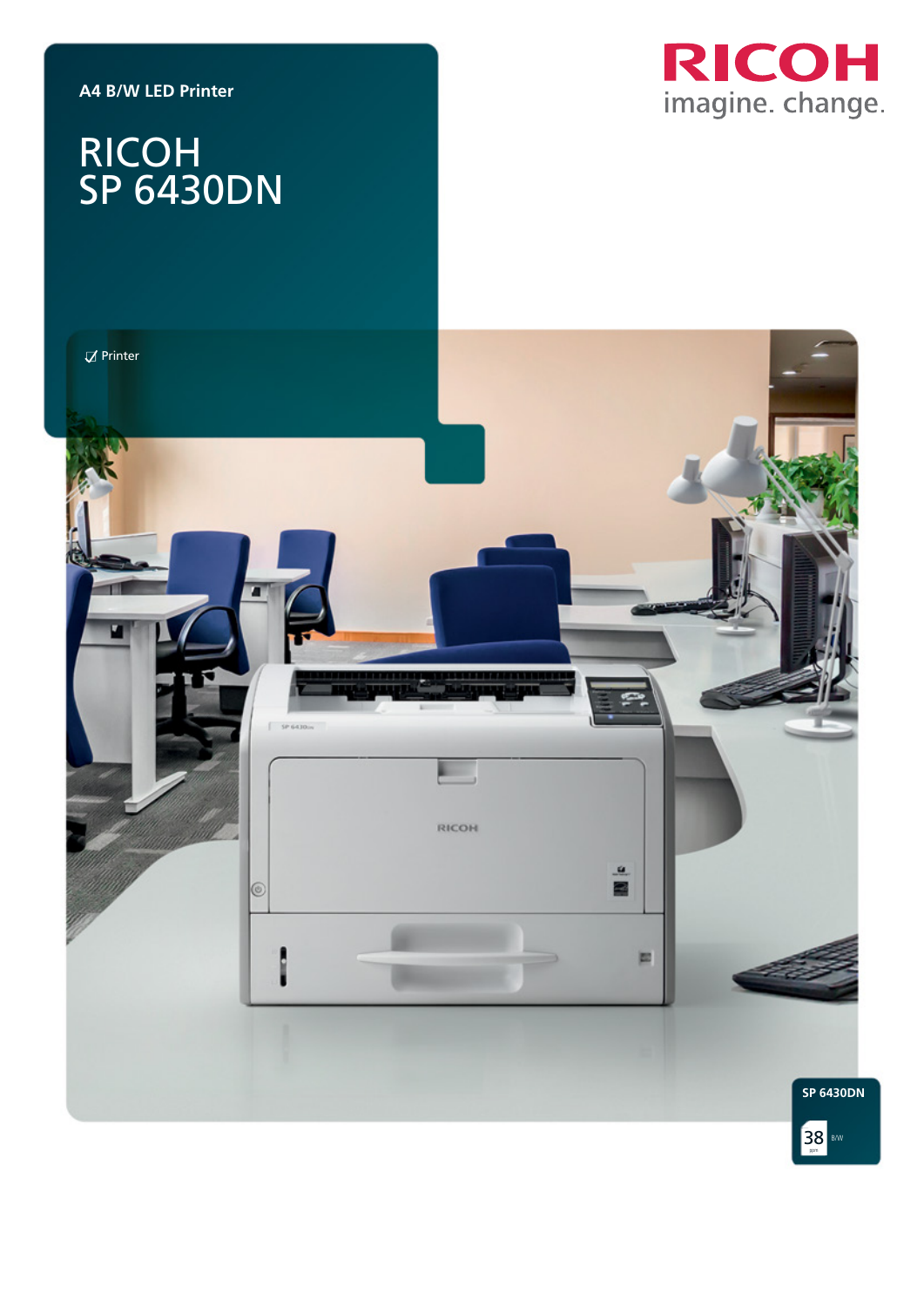**A4 B/W LED Printer**

# RICOH imagine. change.

# RICOH SP 6430DN

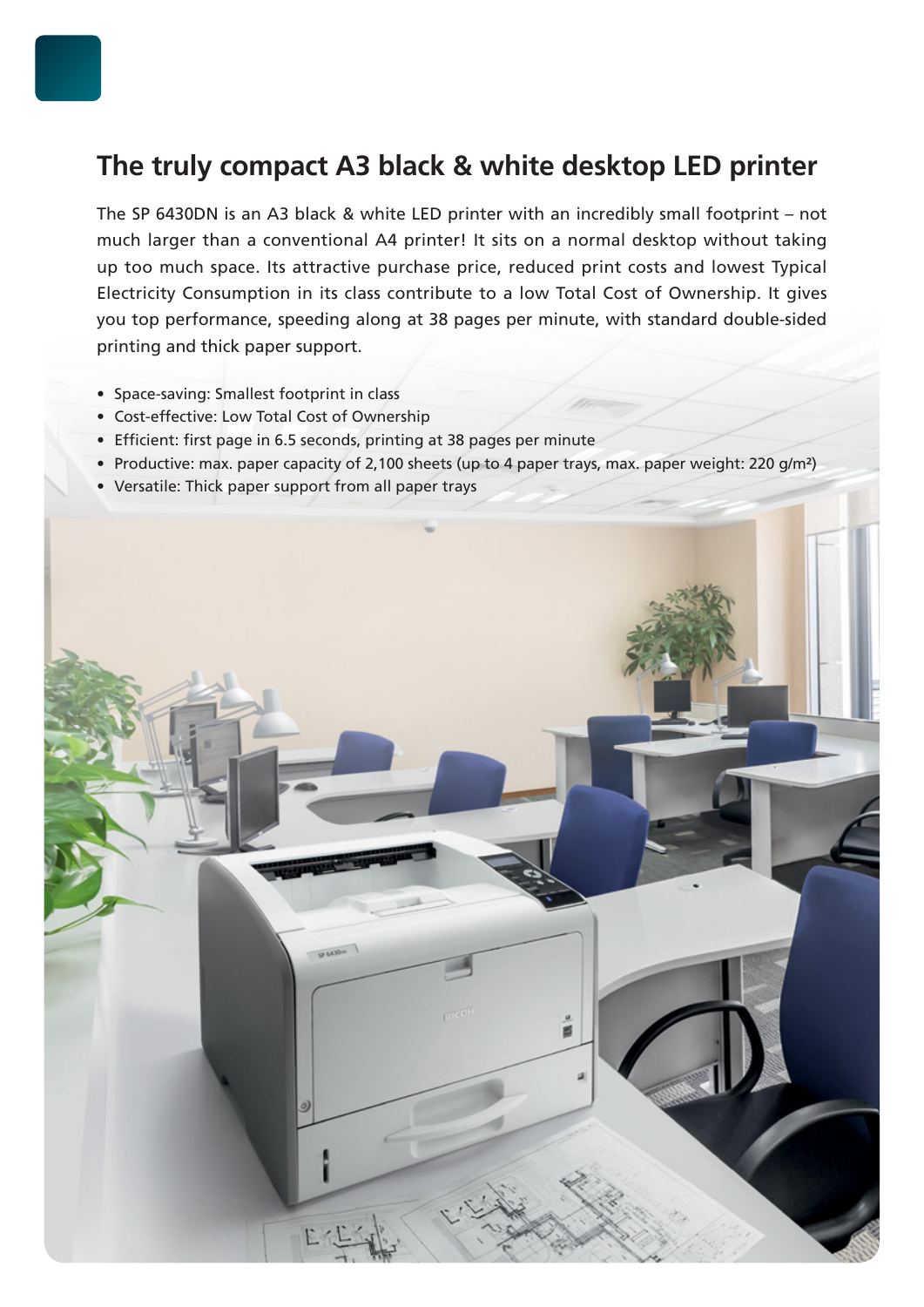## **The truly compact A3 black & white desktop LED printer**

The SP 6430DN is an A3 black & white LED printer with an incredibly small footprint – not much larger than a conventional A4 printer! It sits on a normal desktop without taking up too much space. Its attractive purchase price, reduced print costs and lowest Typical Electricity Consumption in its class contribute to a low Total Cost of Ownership. It gives you top performance, speeding along at 38 pages per minute, with standard double-sided printing and thick paper support.

- Space-saving: Smallest footprint in class
- Cost-effective: Low Total Cost of Ownership
- Efficient: first page in 6.5 seconds, printing at 38 pages per minute
- Productive: max. paper capacity of 2,100 sheets (up to 4 paper trays, max. paper weight: 220 g/m²)
- Versatile: Thick paper support from all paper trays

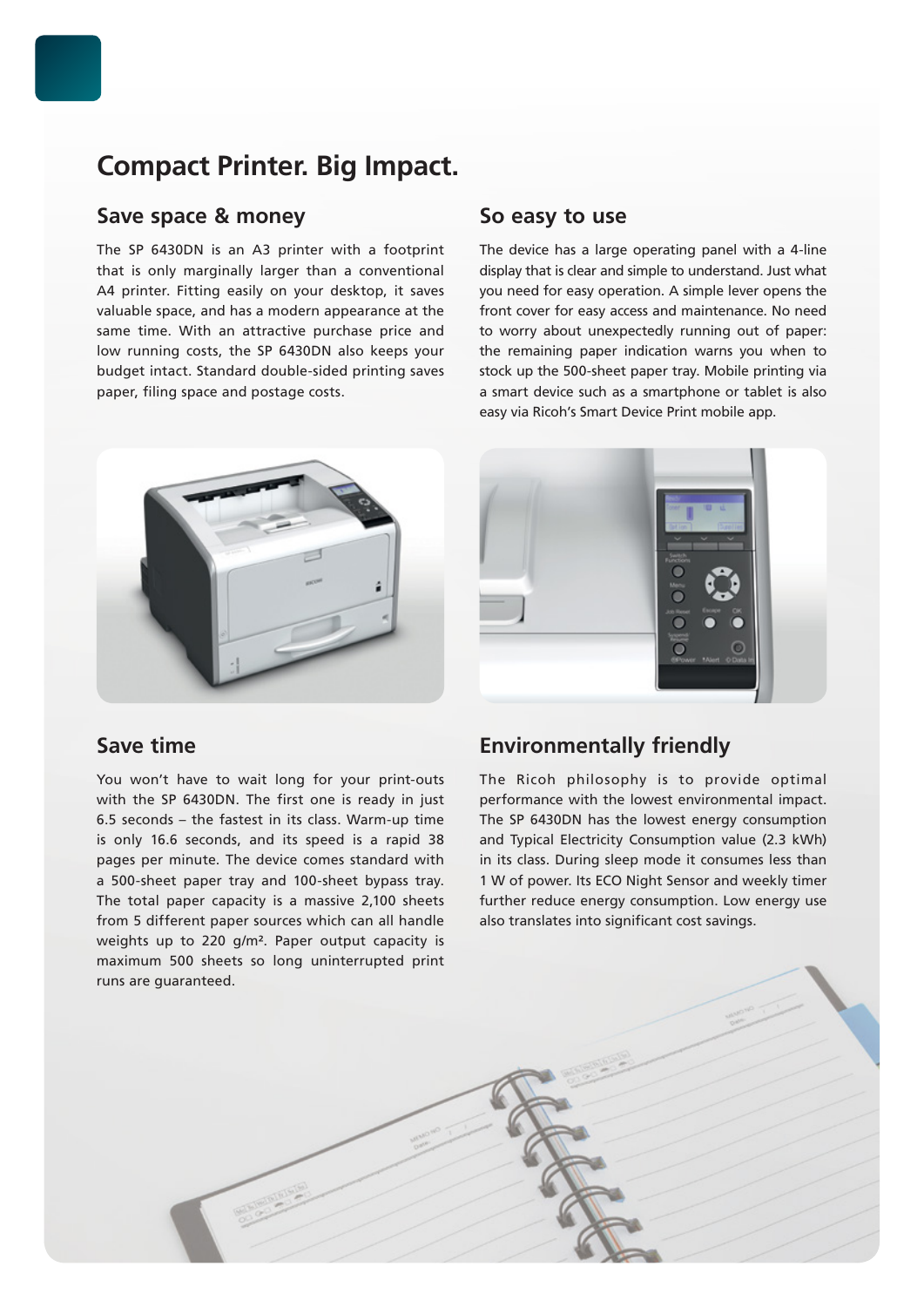## **Compact Printer. Big Impact.**

## **Save space & money**

The SP 6430DN is an A3 printer with a footprint that is only marginally larger than a conventional A4 printer. Fitting easily on your desktop, it saves valuable space, and has a modern appearance at the same time. With an attractive purchase price and low running costs, the SP 6430DN also keeps your budget intact. Standard double-sided printing saves paper, filing space and postage costs.

## **So easy to use**

The device has a large operating panel with a 4-line display that is clear and simple to understand. Just what you need for easy operation. A simple lever opens the front cover for easy access and maintenance. No need to worry about unexpectedly running out of paper: the remaining paper indication warns you when to stock up the 500-sheet paper tray. Mobile printing via a smart device such as a smartphone or tablet is also easy via Ricoh's Smart Device Print mobile app.



## **Save time**

You won't have to wait long for your print-outs with the SP 6430DN. The first one is ready in just 6.5 seconds – the fastest in its class. Warm-up time is only 16.6 seconds, and its speed is a rapid 38 pages per minute. The device comes standard with a 500-sheet paper tray and 100-sheet bypass tray. The total paper capacity is a massive 2,100 sheets from 5 different paper sources which can all handle weights up to 220 g/m². Paper output capacity is maximum 500 sheets so long uninterrupted print runs are guaranteed.



## **Environmentally friendly**

The Ricoh philosophy is to provide optimal performance with the lowest environmental impact. The SP 6430DN has the lowest energy consumption and Typical Electricity Consumption value (2.3 kWh) in its class. During sleep mode it consumes less than 1 W of power. Its ECO Night Sensor and weekly timer further reduce energy consumption. Low energy use also translates into significant cost savings.